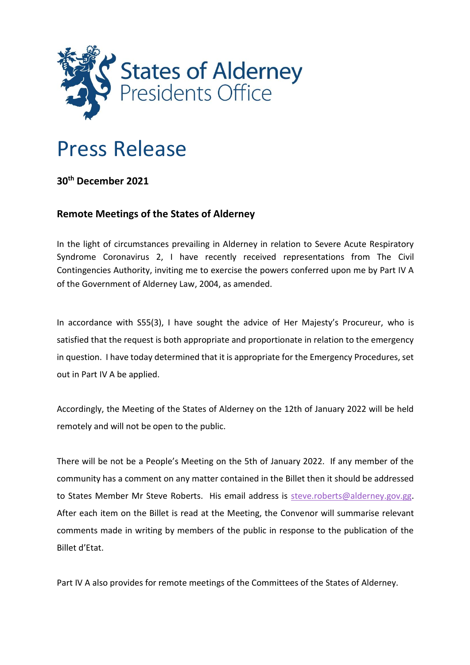

# Press Release

**30th December 2021**

## **Remote Meetings of the States of Alderney**

In the light of circumstances prevailing in Alderney in relation to Severe Acute Respiratory Syndrome Coronavirus 2, I have recently received representations from The Civil Contingencies Authority, inviting me to exercise the powers conferred upon me by Part IV A of the Government of Alderney Law, 2004, as amended.

In accordance with S55(3), I have sought the advice of Her Majesty's Procureur, who is satisfied that the request is both appropriate and proportionate in relation to the emergency in question. I have today determined that it is appropriate for the Emergency Procedures, set out in Part IV A be applied.

Accordingly, the Meeting of the States of Alderney on the 12th of January 2022 will be held remotely and will not be open to the public.

There will be not be a People's Meeting on the 5th of January 2022. If any member of the community has a comment on any matter contained in the Billet then it should be addressed to States Member Mr Steve Roberts. His email address is [steve.roberts@alderney.gov.gg.](mailto:steve.roberts@alderney.gov.gg) After each item on the Billet is read at the Meeting, the Convenor will summarise relevant comments made in writing by members of the public in response to the publication of the Billet d'Etat.

Part IV A also provides for remote meetings of the Committees of the States of Alderney.